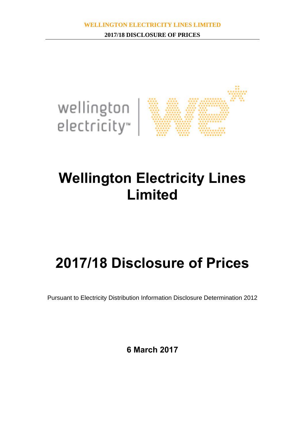

# **Wellington Electricity Lines Limited**

# **2017/18 Disclosure of Prices**

Pursuant to Electricity Distribution Information Disclosure Determination 2012

**6 March 2017**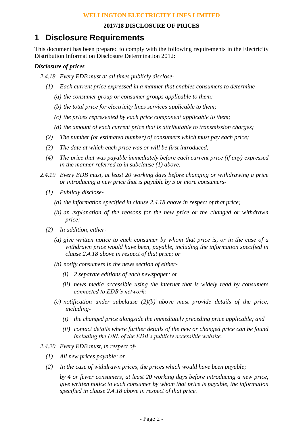## **1 Disclosure Requirements**

This document has been prepared to comply with the following requirements in the Electricity Distribution Information Disclosure Determination 2012:

#### *Disclosure of prices*

- *2.4.18 Every EDB must at all times publicly disclose-*
	- *(1) Each current price expressed in a manner that enables consumers to determine-*
		- *(a) the consumer group or consumer groups applicable to them;*
		- *(b) the total price for electricity lines services applicable to them;*
		- *(c) the prices represented by each price component applicable to them;*
		- *(d) the amount of each current price that is attributable to transmission charges;*
	- *(2) The number (or estimated number) of consumers which must pay each price;*
	- *(3) The date at which each price was or will be first introduced;*
	- *(4) The price that was payable immediately before each current price (if any) expressed in the manner referred to in subclause (1) above.*
- *2.4.19 Every EDB must, at least 20 working days before changing or withdrawing a price or introducing a new price that is payable by 5 or more consumers-*
	- *(1) Publicly disclose-*
		- *(a) the information specified in clause 2.4.18 above in respect of that price;*
		- *(b) an explanation of the reasons for the new price or the changed or withdrawn price;*
	- *(2) In addition, either-*
		- *(a) give written notice to each consumer by whom that price is, or in the case of a withdrawn price would have been, payable, including the information specified in clause 2.4.18 above in respect of that price; or*
		- *(b) notify consumers in the news section of either-*
			- *(i) 2 separate editions of each newspaper; or*
			- *(ii) news media accessible using the internet that is widely read by consumers connected to EDB's network;*
		- *(c) notification under subclause (2)(b) above must provide details of the price, including-*
			- *(i) the changed price alongside the immediately preceding price applicable; and*
			- *(ii) contact details where further details of the new or changed price can be found including the URL of the EDB's publicly accessible website.*
- *2.4.20 Every EDB must, in respect of-*
	- *(1) All new prices payable; or*
	- *(2) In the case of withdrawn prices, the prices which would have been payable;*

*by 4 or fewer consumers, at least 20 working days before introducing a new price, give written notice to each consumer by whom that price is payable, the information specified in clause 2.4.18 above in respect of that price.*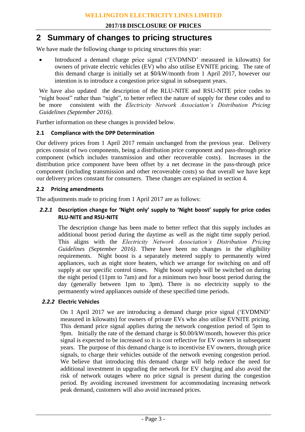## **2 Summary of changes to pricing structures**

We have made the following change to pricing structures this year:

 Introduced a demand charge price signal ('EVDMND' measured in kilowatts) for owners of private electric vehicles (EV) who also utilise EVNITE pricing. The rate of this demand charge is initially set at \$0/kW/month from 1 April 2017, however our intention is to introduce a congestion price signal in subsequent years.

We have also updated the description of the RLU-NITE and RSU-NITE price codes to "night boost" rather than "night", to better reflect the nature of supply for these codes and to be more consistent with the *Electricity Network Association's Distribution Pricing* be more consistent with the *Electricity Network Association's Distribution Pricing Guidelines (September 2016)*.

Further information on these changes is provided below.

#### **2.1 Compliance with the DPP Determination**

Our delivery prices from 1 April 2017 remain unchanged from the previous year. Delivery prices consist of two components, being a distribution price component and pass-through price component (which includes transmission and other recoverable costs). Increases in the distribution price component have been offset by a net decrease in the pass-through price component (including transmission and other recoverable costs) so that overall we have kept our delivery prices constant for consumers. These changes are explained in section 4.

#### **2.2 Pricing amendments**

The adjustments made to pricing from 1 April 2017 are as follows:

#### *2.2.1* **Description change for 'Night only' supply to 'Night boost' supply for price codes RLU-NITE and RSU-NITE**

The description change has been made to better reflect that this supply includes an additional boost period during the daytime as well as the night time supply period. This aligns with the *Electricity Network Association's Distribution Pricing Guidelines (September 2016)*. There have been no changes in the eligibility requirements. Night boost is a separately metered supply to permanently wired appliances, such as night store heaters, which we arrange for switching on and off supply at our specific control times. Night boost supply will be switched on during the night period (11pm to 7am) and for a minimum two hour boost period during the day (generally between 1pm to 3pm). There is no electricity supply to the permanently wired appliances outside of these specified time periods.

#### *2.2.2* **Electric Vehicles**

On 1 April 2017 we are introducing a demand charge price signal ('EVDMND' measured in kilowatts) for owners of private EVs who also utilise EVNITE pricing. This demand price signal applies during the network congestion period of 5pm to 9pm. Initially the rate of the demand charge is \$0.00/kW/month, however this price signal is expected to be increased so it is cost reflective for EV owners in subsequent years. The purpose of this demand charge is to incentivise EV owners, through price signals, to charge their vehicles outside of the network evening congestion period. We believe that introducing this demand charge will help reduce the need for additional investment in upgrading the network for EV charging and also avoid the risk of network outages where no price signal is present during the congestion period. By avoiding increased investment for accommodating increasing network peak demand, customers will also avoid increased prices.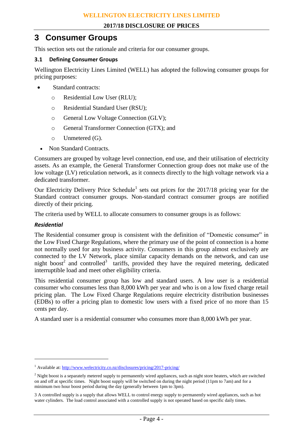## **3 Consumer Groups**

This section sets out the rationale and criteria for our consumer groups.

#### **3.1 Defining Consumer Groups**

Wellington Electricity Lines Limited (WELL) has adopted the following consumer groups for pricing purposes:

- Standard contracts:
	- o Residential Low User (RLU);
	- o Residential Standard User (RSU);
	- o General Low Voltage Connection (GLV);
	- o General Transformer Connection (GTX); and
	- o Unmetered (G).
	- Non Standard Contracts.

Consumers are grouped by voltage level connection, end use, and their utilisation of electricity assets. As an example, the General Transformer Connection group does not make use of the low voltage (LV) reticulation network, as it connects directly to the high voltage network via a dedicated transformer.

Our Electricity Delivery Price Schedule<sup>1</sup> sets out prices for the  $2017/18$  pricing year for the Standard contract consumer groups. Non-standard contract consumer groups are notified directly of their pricing.

The criteria used by WELL to allocate consumers to consumer groups is as follows:

#### *Residential*

 $\overline{a}$ 

The Residential consumer group is consistent with the definition of "Domestic consumer" in the Low Fixed Charge Regulations, where the primary use of the point of connection is a home not normally used for any business activity. Consumers in this group almost exclusively are connected to the LV Network, place similar capacity demands on the network, and can use night boost<sup>2</sup> and controlled<sup>3</sup> tariffs, provided they have the required metering, dedicated interruptible load and meet other eligibility criteria.

This residential consumer group has low and standard users. A low user is a residential consumer who consumes less than 8,000 kWh per year and who is on a low fixed charge retail pricing plan. The Low Fixed Charge Regulations require electricity distribution businesses (EDBs) to offer a pricing plan to domestic low users with a fixed price of no more than 15 cents per day.

A standard user is a residential consumer who consumes more than 8,000 kWh per year.

<sup>&</sup>lt;sup>1</sup> Available at:<http://www.welectricity.co.nz/disclosures/pricing/2017-pricing/>

 $<sup>2</sup>$  Night boost is a separately metered supply to permanently wired appliances, such as night store heaters, which are switched</sup> on and off at specific times. Night boost supply will be switched on during the night period (11pm to 7am) and for a minimum two hour boost period during the day (generally between 1pm to 3pm).

<sup>3</sup> A controlled supply is a supply that allows WELL to control energy supply to permanently wired appliances, such as hot water cylinders. The load control associated with a controlled supply is not operated based on specific daily times.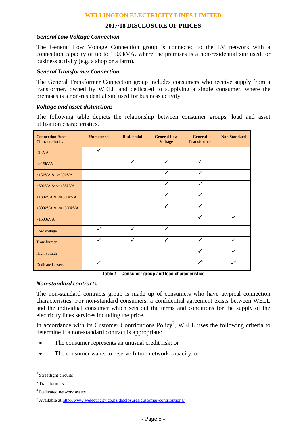#### *General Low Voltage Connection*

The General Low Voltage Connection group is connected to the LV network with a connection capacity of up to 1500kVA, where the premises is a non-residential site used for business activity (e.g. a shop or a farm).

#### *General Transformer Connection*

The General Transformer Connection group includes consumers who receive supply from a transformer, owned by WELL and dedicated to supplying a single consumer, where the premises is a non-residential site used for business activity.

#### *Voltage and asset distinctions*

The following table depicts the relationship between consumer groups, load and asset utilisation characteristics.

| <b>Connection Asset</b><br><b>Characteristics</b> | <b>Unmetered</b> | <b>Residential</b> | <b>General Low</b><br><b>Voltage</b> | <b>General</b><br><b>Transformer</b> | <b>Non Standard</b> |  |
|---------------------------------------------------|------------------|--------------------|--------------------------------------|--------------------------------------|---------------------|--|
| $\langle$ 1kVA                                    | ✓                |                    |                                      |                                      |                     |  |
| $\leq$ =15kVA                                     |                  | $\checkmark$       | $\checkmark$                         | $\checkmark$                         |                     |  |
| $>15kVA <=69kVA$                                  |                  |                    | $\checkmark$                         | $\checkmark$                         |                     |  |
| $>69$ kVA & $\lt$ = 138kVA                        |                  |                    | $\checkmark$                         | $\checkmark$                         |                     |  |
| $>138kVA <=300kVA$                                |                  |                    | ✓                                    | ✓                                    |                     |  |
| $>300$ kVA & $\lt$ =1500kVA                       |                  |                    | $\checkmark$                         | $\checkmark$                         |                     |  |
| $>1500kVA$                                        |                  |                    |                                      | $\checkmark$                         | ✓                   |  |
| Low voltage                                       | $\checkmark$     | $\checkmark$       | $\checkmark$                         |                                      |                     |  |
| Transformer                                       | $\checkmark$     | $\checkmark$       | ✓                                    | ✓                                    | $\checkmark$        |  |
| High voltage                                      |                  |                    |                                      | $\checkmark$                         | $\checkmark$        |  |
| Dedicated assets                                  | $\mathcal{V}^4$  |                    |                                      | $\checkmark$                         | $\mathcal{V}^6$     |  |

**Table 1 – Consumer group and load characteristics**

#### *Non-standard contracts*

The non-standard contracts group is made up of consumers who have atypical connection characteristics. For non-standard consumers, a confidential agreement exists between WELL and the individual consumer which sets out the terms and conditions for the supply of the electricity lines services including the price.

In accordance with its Customer Contributions  $Policy<sup>7</sup>$ , WELL uses the following criteria to determine if a non-standard contract is appropriate:

- The consumer represents an unusual credit risk; or
- The consumer wants to reserve future network capacity; or

 $\overline{a}$ 

<sup>4</sup> Streetlight circuits

<sup>5</sup> Transformers

<sup>6</sup> Dedicated network assets

<sup>7</sup> Available at<http://www.welectricity.co.nz/disclosures/customer-contributions/>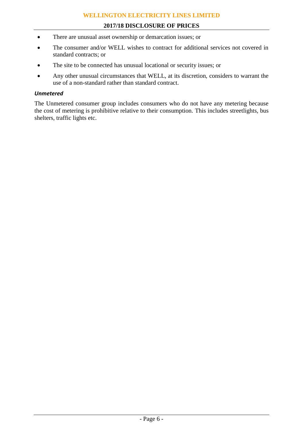#### **WELLINGTON ELECTRICITY LINES LIMITED**

#### **2017/18 DISCLOSURE OF PRICES**

- There are unusual asset ownership or demarcation issues; or
- The consumer and/or WELL wishes to contract for additional services not covered in standard contracts; or
- The site to be connected has unusual locational or security issues; or
- Any other unusual circumstances that WELL, at its discretion, considers to warrant the use of a non-standard rather than standard contract.

#### *Unmetered*

The Unmetered consumer group includes consumers who do not have any metering because the cost of metering is prohibitive relative to their consumption. This includes streetlights, bus shelters, traffic lights etc.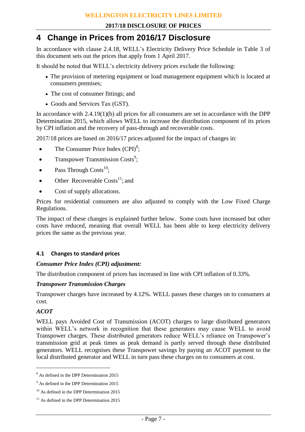## **4 Change in Prices from 2016/17 Disclosure**

In accordance with clause 2.4.18, WELL's Electricity Delivery Price Schedule in Table 3 of this document sets out the prices that apply from 1 April 2017.

It should be noted that WELL's electricity delivery prices exclude the following:

- The provision of metering equipment or load management equipment which is located at consumers premises;
- The cost of consumer fittings; and
- Goods and Services Tax (GST).

In accordance with 2.4.19(1)(b) all prices for all consumers are set in accordance with the DPP Determination 2015, which allows WELL to increase the distribution component of its prices by CPI inflation and the recovery of pass-through and recoverable costs.

2017/18 prices are based on 2016/17 prices adjusted for the impact of changes in:

- The Consumer Price Index  $(CPI)^8$ ;
- Transpower Transmission Costs<sup>9</sup>;
- Pass Through  $\text{Costs}^{10}$ ;
- Other Recoverable Costs<sup>11</sup>; and
- Cost of supply allocations.

Prices for residential consumers are also adjusted to comply with the Low Fixed Charge Regulations.

The impact of these changes is explained further below. Some costs have increased but other costs have reduced, meaning that overall WELL has been able to keep electricity delivery prices the same as the previous year.

#### **4.1 Changes to standard prices**

#### *Consumer Price Index (CPI) adjustment:*

The distribution component of prices has increased in line with CPI inflation of 0.33%.

#### *Transpower Transmission Charges*

Transpower charges have increased by 4.12%. WELL passes these charges on to consumers at cost.

#### *ACOT*

 $\overline{a}$ 

WELL pays Avoided Cost of Transmission (ACOT) charges to large distributed generators within WELL's network in recognition that these generators may cause WELL to avoid Transpower charges. These distributed generators reduce WELL's reliance on Transpower's transmission grid at peak times as peak demand is partly served through these distributed generators. WELL recognises these Transpower savings by paying an ACOT payment to the local distributed generator and WELL in turn pass these charges on to consumers at cost.

<sup>8</sup> As defined in the DPP Determination 2015

<sup>&</sup>lt;sup>9</sup> As defined in the DPP Determination 2015

 $10$  As defined in the DPP Determination 2015

<sup>&</sup>lt;sup>11</sup> As defined in the DPP Determination 2015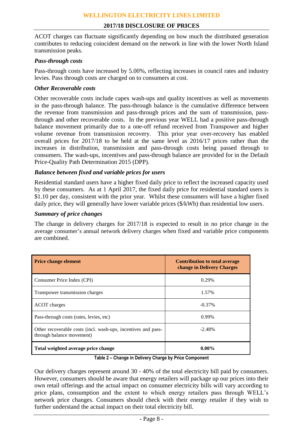ACOT charges can fluctuate significantly depending on how much the distributed generation contributes to reducing coincident demand on the network in line with the lower North Island transmission peaks.

#### *Pass-through costs*

Pass-through costs have increased by 5.00%, reflecting increases in council rates and industry levies. Pass through costs are charged on to consumers at cost.

#### *Other Recoverable costs*

Other recoverable costs include capex wash-ups and quality incentives as well as movements in the pass-through balance. The pass-through balance is the cumulative difference between the revenue from transmission and pass-through prices and the sum of transmission, passthrough and other recoverable costs. In the previous year WELL had a positive pass-through balance movement primarily due to a one-off refund received from Transpower and higher volume revenue from transmission recovery. This prior year over-recovery has enabled overall prices for 2017/18 to be held at the same level as 2016/17 prices rather than the increases in distribution, transmission and pass-through costs being passed through to consumers. The wash-ups, incentives and pass-through balance are provided for in the Default Price-Quality Path Determination 2015 (DPP).

#### *Balance between fixed and variable prices for users*

Residential standard users have a higher fixed daily price to reflect the increased capacity used by these consumers. As at 1 April 2017, the fixed daily price for residential standard users is \$1.10 per day, consistent with the prior year. Whilst these consumers will have a higher fixed daily price, they will generally have lower variable prices (\$/kWh) than residential low users.

#### *Summary of price changes*

The change in delivery charges for 2017/18 is expected to result in no price change in the average consumer's annual network delivery charges when fixed and variable price components are combined.

| <b>Price change element</b>                                                                | <b>Contribution to total average</b><br>change in Delivery Charges |  |  |  |
|--------------------------------------------------------------------------------------------|--------------------------------------------------------------------|--|--|--|
| Consumer Price Index (CPI)                                                                 | 0.29%                                                              |  |  |  |
| Transpower transmission charges                                                            | 1.57%                                                              |  |  |  |
| ACOT charges                                                                               | $-0.37\%$                                                          |  |  |  |
| Pass-through costs (rates, levies, etc)                                                    | 0.99%                                                              |  |  |  |
| Other recoverable costs (incl. wash-ups, incentives and pass-<br>through balance movement) | $-2.48%$                                                           |  |  |  |
| Total weighted average price change                                                        | $0.00\%$                                                           |  |  |  |

**Table 2 – Change in Delivery Charge by Price Component**

Our delivery charges represent around 30 - 40% of the total electricity bill paid by consumers. However, consumers should be aware that energy retailers will package up our prices into their own retail offerings and the actual impact on consumer electricity bills will vary according to price plans, consumption and the extent to which energy retailers pass through WELL's network price changes. Consumers should check with their energy retailer if they wish to further understand the actual impact on their total electricity bill.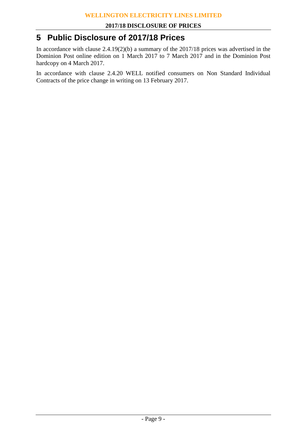### **5 Public Disclosure of 2017/18 Prices**

In accordance with clause 2.4.19(2)(b) a summary of the 2017/18 prices was advertised in the Dominion Post online edition on 1 March 2017 to 7 March 2017 and in the Dominion Post hardcopy on 4 March 2017.

In accordance with clause 2.4.20 WELL notified consumers on Non Standard Individual Contracts of the price change in writing on 13 February 2017.